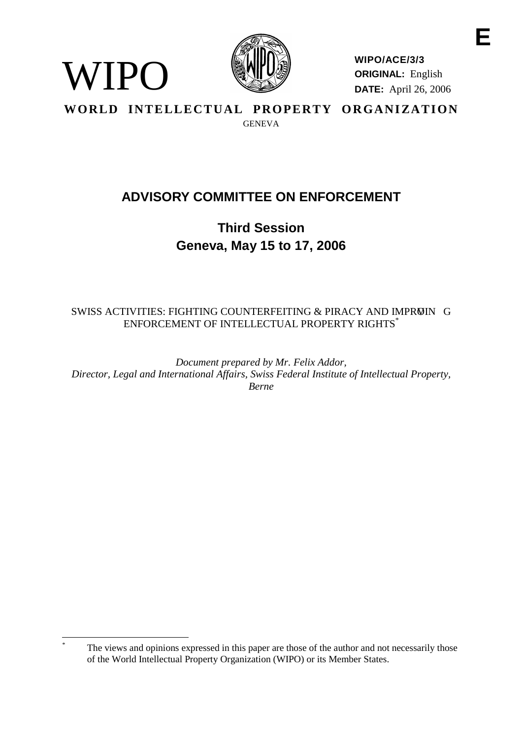

WIPO

**WIPO/ACE/3/3 ORIGINAL:** English **DATE:** April 26, 2006 **E**

WORLD INTELLECTUAL PROPERTY ORGANIZATION **GENEVA** 

# **ADVISORY COMMITTEE ON ENFORCEMENT**

**Third Session Geneva, May 15 to 17, 2006**

SWISS ACTIVITIES: FIGHTING COUNTERFEITING & PIRACY AND IMPROIN G ENFORCEMENT OF INTELLECTUAL PROPERTY RIGHTS<sup>\*</sup>

*Document prepared by Mr. Felix Addor, Director, Legal and International Affairs, Swiss Federal Institute of Intellectual Property, Berne*

The views and opinions expressed in this paper are those of the author and not necessarily those of the World Intellectual Property Organization (WIPO) or its Member States.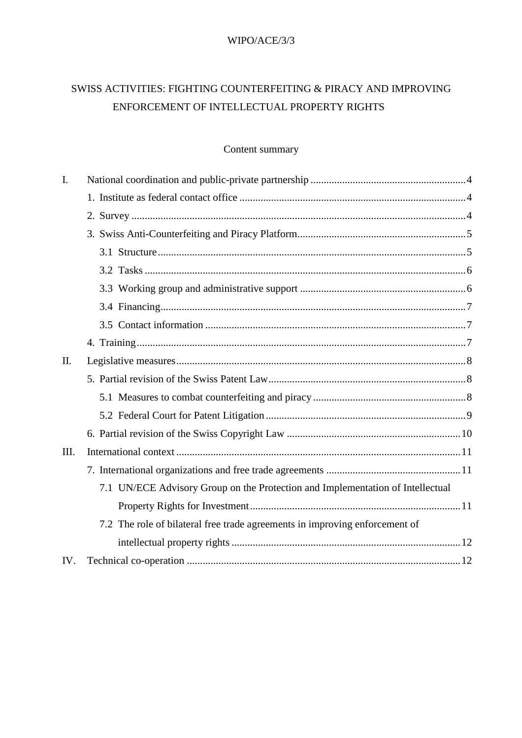#### WIPO/ACE/3/3

## SWISS ACTIVITIES: FIGHTING COUNTERFEITING & PIRACY AND IMPROVING ENFORCEMENT OF INTELLECTUAL PROPERTY RIGHTS

## Content summary

| I.   |                                                                                |
|------|--------------------------------------------------------------------------------|
|      |                                                                                |
|      |                                                                                |
|      |                                                                                |
|      |                                                                                |
|      |                                                                                |
|      |                                                                                |
|      |                                                                                |
|      |                                                                                |
|      |                                                                                |
| II.  |                                                                                |
|      |                                                                                |
|      |                                                                                |
|      |                                                                                |
|      |                                                                                |
| III. |                                                                                |
|      |                                                                                |
|      | 7.1 UN/ECE Advisory Group on the Protection and Implementation of Intellectual |
|      |                                                                                |
|      | 7.2 The role of bilateral free trade agreements in improving enforcement of    |
|      |                                                                                |
| IV.  |                                                                                |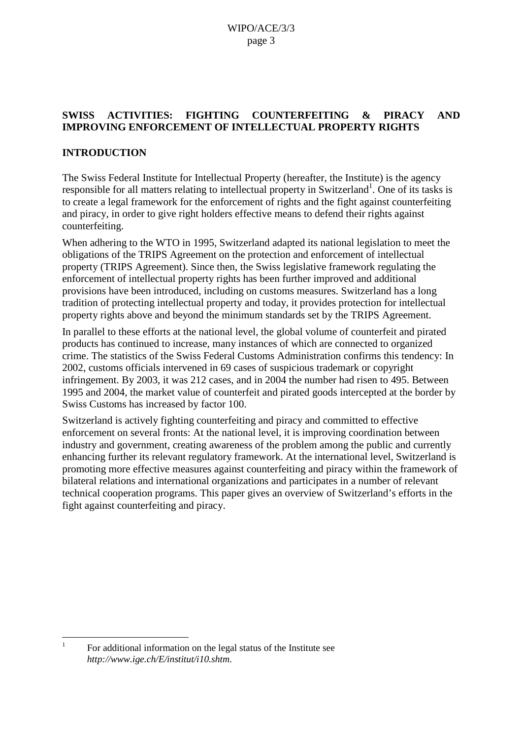## **SWISS ACTIVITIES: FIGHTING COUNTERFEITING & PIRACY AND IMPROVING ENFORCEMENT OF INTELLECTUAL PROPERTY RIGHTS**

## **INTRODUCTION**

The Swiss Federal Institute for Intellectual Property (hereafter, the Institute) is the agency responsible for all matters relating to intellectual property in Switzerland<sup>1</sup>. One of its tasks is to create a legal framework for the enforcement of rights and the fight against counterfeiting and piracy, in order to give right holders effective means to defend their rights against counterfeiting.

When adhering to the WTO in 1995, Switzerland adapted its national legislation to meet the obligations of the TRIPS Agreement on the protection and enforcement of intellectual property (TRIPS Agreement). Since then, the Swiss legislative framework regulating the enforcement of intellectual property rights has been further improved and additional provisions have been introduced, including on customs measures. Switzerland has a long tradition of protecting intellectual property and today, it provides protection for intellectual property rights above and beyond the minimum standards set by the TRIPS Agreement.

In parallel to these efforts at the national level, the global volume of counterfeit and pirated products has continued to increase, many instances of which are connected to organized crime. The statistics of the Swiss Federal Customs Administration confirms this tendency: In 2002, customs officials intervened in 69 cases of suspicious trademark or copyright infringement. By 2003, it was 212 cases, and in 2004 the number had risen to 495. Between 1995 and 2004, the market value of counterfeit and pirated goods intercepted at the border by Swiss Customs has increased by factor 100.

Switzerland is actively fighting counterfeiting and piracy and committed to effective enforcement on several fronts: At the national level, it is improving coordination between industry and government, creating awareness of the problem among the public and currently enhancing further its relevant regulatory framework. At the international level, Switzerland is promoting more effective measures against counterfeiting and piracy within the framework of bilateral relations and international organizations and participates in a number of relevant technical cooperation programs. This paper gives an overview of Switzerland's efforts in the fight against counterfeiting and piracy.

<sup>1</sup> For additional information on the legal status of the Institute see *http://www.ige.ch/E/institut/i10.shtm*.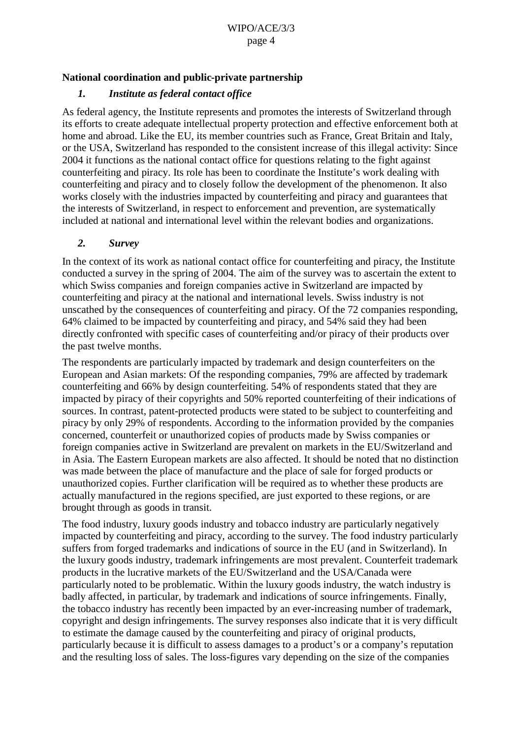#### <span id="page-3-0"></span>**National coordination and public-private partnership**

#### *1. Institute as federal contact office*

As federal agency, the Institute represents and promotes the interests of Switzerland through its efforts to create adequate intellectual property protection and effective enforcement both at home and abroad. Like the EU, its member countries such as France, Great Britain and Italy, or the USA, Switzerland has responded to the consistent increase of this illegal activity: Since 2004 it functions as the national contact office for questions relating to the fight against counterfeiting and piracy. Its role has been to coordinate the Institute's work dealing with counterfeiting and piracy and to closely follow the development of the phenomenon. It also works closely with the industries impacted by counterfeiting and piracy and guarantees that the interests of Switzerland, in respect to enforcement and prevention, are systematically included at national and international level within the relevant bodies and organizations.

#### *2. Survey*

In the context of its work as national contact office for counterfeiting and piracy, the Institute conducted a survey in the spring of 2004. The aim of the survey was to ascertain the extent to which Swiss companies and foreign companies active in Switzerland are impacted by counterfeiting and piracy at the national and international levels. Swiss industry is not unscathed by the consequences of counterfeiting and piracy. Of the 72 companies responding, 64% claimed to be impacted by counterfeiting and piracy, and 54% said they had been directly confronted with specific cases of counterfeiting and/or piracy of their products over the past twelve months.

The respondents are particularly impacted by trademark and design counterfeiters on the European and Asian markets: Of the responding companies, 79% are affected by trademark counterfeiting and 66% by design counterfeiting. 54% of respondents stated that they are impacted by piracy of their copyrights and 50% reported counterfeiting of their indications of sources. In contrast, patent-protected products were stated to be subject to counterfeiting and piracy by only 29% of respondents. According to the information provided by the companies concerned, counterfeit or unauthorized copies of products made by Swiss companies or foreign companies active in Switzerland are prevalent on markets in the EU/Switzerland and in Asia. The Eastern European markets are also affected. It should be noted that no distinction was made between the place of manufacture and the place of sale for forged products or unauthorized copies. Further clarification will be required as to whether these products are actually manufactured in the regions specified, are just exported to these regions, or are brought through as goods in transit.

The food industry, luxury goods industry and tobacco industry are particularly negatively impacted by counterfeiting and piracy, according to the survey. The food industry particularly suffers from forged trademarks and indications of source in the EU (and in Switzerland). In the luxury goods industry, trademark infringements are most prevalent. Counterfeit trademark products in the lucrative markets of the EU/Switzerland and the USA/Canada were particularly noted to be problematic. Within the luxury goods industry, the watch industry is badly affected, in particular, by trademark and indications of source infringements. Finally, the tobacco industry has recently been impacted by an ever-increasing number of trademark, copyright and design infringements. The survey responses also indicate that it is very difficult to estimate the damage caused by the counterfeiting and piracy of original products, particularly because it is difficult to assess damages to a product's or a company's reputation and the resulting loss of sales. The loss-figures vary depending on the size of the companies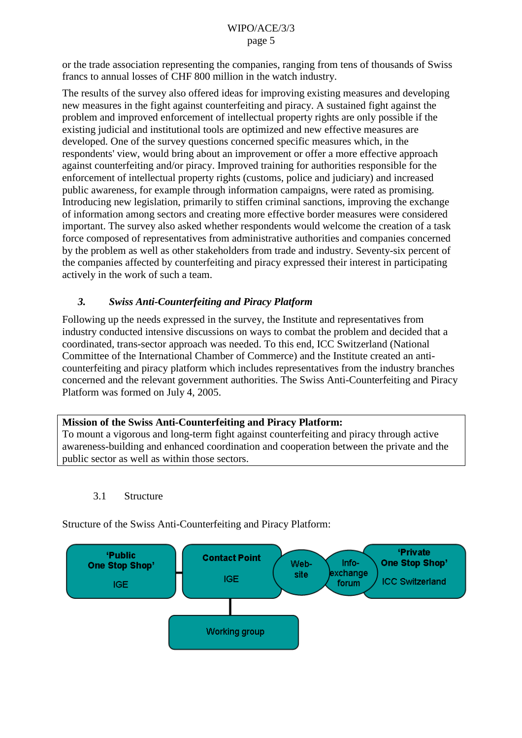<span id="page-4-0"></span>or the trade association representing the companies, ranging from tens of thousands of Swiss francs to annual losses of CHF 800 million in the watch industry.

The results of the survey also offered ideas for improving existing measures and developing new measures in the fight against counterfeiting and piracy. A sustained fight against the problem and improved enforcement of intellectual property rights are only possible if the existing judicial and institutional tools are optimized and new effective measures are developed. One of the survey questions concerned specific measures which, in the respondents' view, would bring about an improvement or offer a more effective approach against counterfeiting and/or piracy. Improved training for authorities responsible for the enforcement of intellectual property rights (customs, police and judiciary) and increased public awareness, for example through information campaigns, were rated as promising. Introducing new legislation, primarily to stiffen criminal sanctions, improving the exchange of information among sectors and creating more effective border measures were considered important. The survey also asked whether respondents would welcome the creation of a task force composed of representatives from administrative authorities and companies concerned by the problem as well as other stakeholders from trade and industry. Seventy-six percent of the companies affected by counterfeiting and piracy expressed their interest in participating actively in the work of such a team.

## *3. Swiss Anti-Counterfeiting and Piracy Platform*

Following up the needs expressed in the survey, the Institute and representatives from industry conducted intensive discussions on ways to combat the problem and decided that a coordinated, trans-sector approach was needed. To this end, ICC Switzerland (National Committee of the International Chamber of Commerce) and the Institute created an anticounterfeiting and piracy platform which includes representatives from the industry branches concerned and the relevant government authorities. The Swiss Anti-Counterfeiting and Piracy Platform was formed on July 4, 2005.

#### **Mission of the Swiss Anti-Counterfeiting and Piracy Platform:**

To mount a vigorous and long-term fight against counterfeiting and piracy through active awareness-building and enhanced coordination and cooperation between the private and the public sector as well as within those sectors.

#### 3.1 Structure

Structure of the Swiss Anti-Counterfeiting and Piracy Platform:

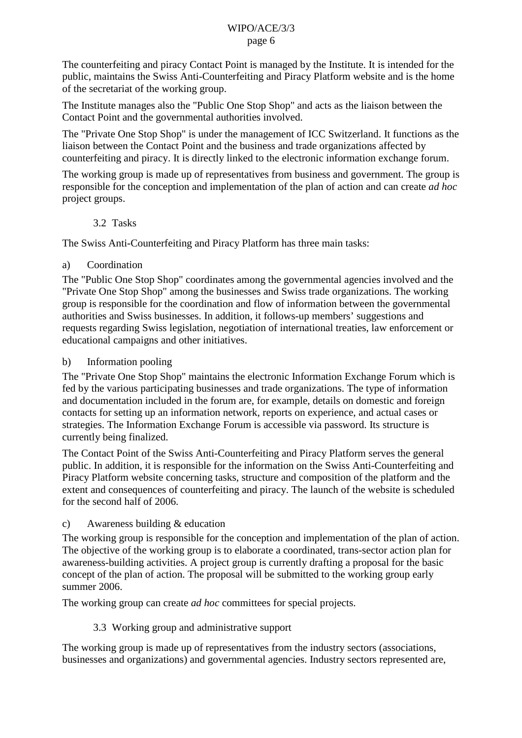<span id="page-5-0"></span>The counterfeiting and piracy Contact Point is managed by the Institute. It is intended for the public, maintains the Swiss Anti-Counterfeiting and Piracy Platform website and is the home of the secretariat of the working group.

The Institute manages also the "Public One Stop Shop" and acts as the liaison between the Contact Point and the governmental authorities involved.

The "Private One Stop Shop" is under the management of ICC Switzerland. It functions as the liaison between the Contact Point and the business and trade organizations affected by counterfeiting and piracy. It is directly linked to the electronic information exchange forum.

The working group is made up of representatives from business and government. The group is responsible for the conception and implementation of the plan of action and can create *ad hoc* project groups.

#### 3.2 Tasks

The Swiss Anti-Counterfeiting and Piracy Platform has three main tasks:

## a) Coordination

The "Public One Stop Shop" coordinates among the governmental agencies involved and the "Private One Stop Shop" among the businesses and Swiss trade organizations. The working group is responsible for the coordination and flow of information between the governmental authorities and Swiss businesses. In addition, it follows-up members' suggestions and requests regarding Swiss legislation, negotiation of international treaties, law enforcement or educational campaigns and other initiatives.

#### b) Information pooling

The "Private One Stop Shop" maintains the electronic Information Exchange Forum which is fed by the various participating businesses and trade organizations. The type of information and documentation included in the forum are, for example, details on domestic and foreign contacts for setting up an information network, reports on experience, and actual cases or strategies. The Information Exchange Forum is accessible via password. Its structure is currently being finalized.

The Contact Point of the Swiss Anti-Counterfeiting and Piracy Platform serves the general public. In addition, it is responsible for the information on the Swiss Anti-Counterfeiting and Piracy Platform website concerning tasks, structure and composition of the platform and the extent and consequences of counterfeiting and piracy. The launch of the website is scheduled for the second half of 2006.

#### c) Awareness building & education

The working group is responsible for the conception and implementation of the plan of action. The objective of the working group is to elaborate a coordinated, trans-sector action plan for awareness-building activities. A project group is currently drafting a proposal for the basic concept of the plan of action. The proposal will be submitted to the working group early summer 2006.

The working group can create *ad hoc* committees for special projects.

## 3.3 Working group and administrative support

The working group is made up of representatives from the industry sectors (associations, businesses and organizations) and governmental agencies. Industry sectors represented are,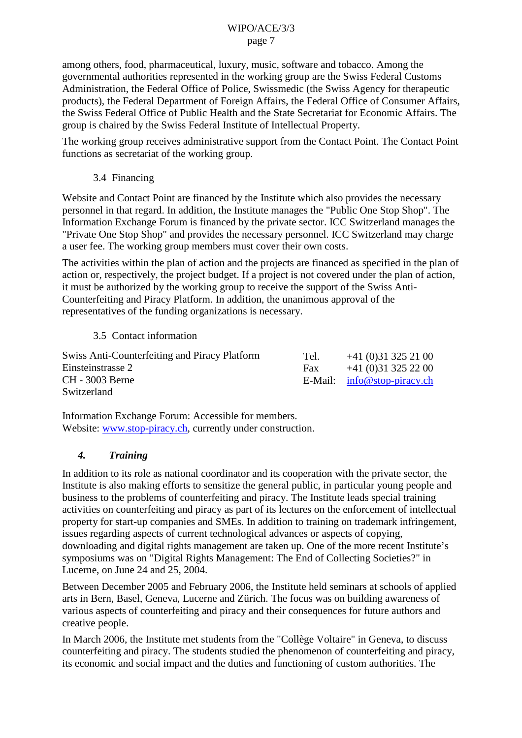<span id="page-6-0"></span>among others, food, pharmaceutical, luxury, music, software and tobacco. Among the governmental authorities represented in the working group are the Swiss Federal Customs Administration, the Federal Office of Police, Swissmedic (the Swiss Agency for therapeutic products), the Federal Department of Foreign Affairs, the Federal Office of Consumer Affairs, the Swiss Federal Office of Public Health and the State Secretariat for Economic Affairs. The group is chaired by the Swiss Federal Institute of Intellectual Property.

The working group receives administrative support from the Contact Point. The Contact Point functions as secretariat of the working group.

3.4 Financing

Website and Contact Point are financed by the Institute which also provides the necessary personnel in that regard. In addition, the Institute manages the "Public One Stop Shop". The Information Exchange Forum is financed by the private sector. ICC Switzerland manages the "Private One Stop Shop" and provides the necessary personnel. ICC Switzerland may charge a user fee. The working group members must cover their own costs.

The activities within the plan of action and the projects are financed as specified in the plan of action or, respectively, the project budget. If a project is not covered under the plan of action, it must be authorized by the working group to receive the support of the Swiss Anti-Counterfeiting and Piracy Platform. In addition, the unanimous approval of the representatives of the funding organizations is necessary.

3.5 Contact information

| Swiss Anti-Counterfeiting and Piracy Platform | Tel. | $+41(0)313252100$             |
|-----------------------------------------------|------|-------------------------------|
| Einsteinstrasse 2                             | Fax  | $+41(0)313252200$             |
| CH - 3003 Berne                               |      | E-Mail: $info@stop-piracy.ch$ |
| Switzerland                                   |      |                               |

Information Exchange Forum: Accessible for members. Website: [www.stop-piracy.ch,](http://www.stop-piracy.ch/) currently under construction.

## *4. Training*

In addition to its role as national coordinator and its cooperation with the private sector, the Institute is also making efforts to sensitize the general public, in particular young people and business to the problems of counterfeiting and piracy. The Institute leads special training activities on counterfeiting and piracy as part of its lectures on the enforcement of intellectual property for start-up companies and SMEs. In addition to training on trademark infringement, issues regarding aspects of current technological advances or aspects of copying, downloading and digital rights management are taken up. One of the more recent Institute's symposiums was on "Digital Rights Management: The End of Collecting Societies?" in Lucerne, on June 24 and 25, 2004.

Between December 2005 and February 2006, the Institute held seminars at schools of applied arts in Bern, Basel, Geneva, Lucerne and Zürich. The focus was on building awareness of various aspects of counterfeiting and piracy and their consequences for future authors and creative people.

In March 2006, the Institute met students from the "Collège Voltaire" in Geneva, to discuss counterfeiting and piracy. The students studied the phenomenon of counterfeiting and piracy, its economic and social impact and the duties and functioning of custom authorities. The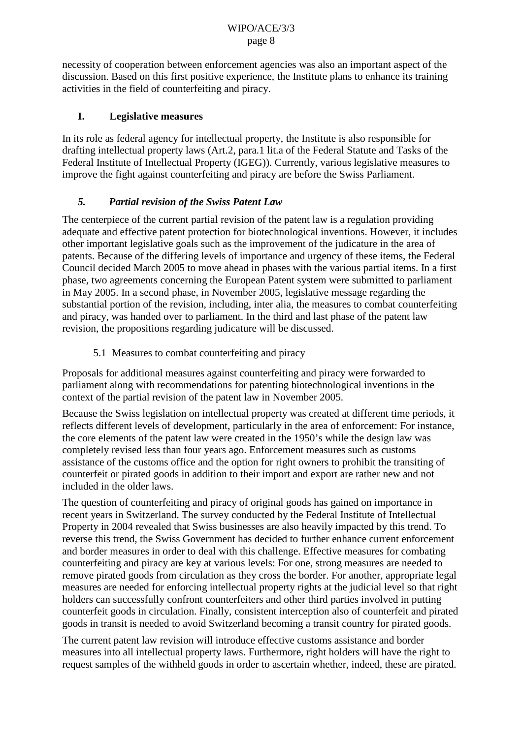<span id="page-7-0"></span>necessity of cooperation between enforcement agencies was also an important aspect of the discussion. Based on this first positive experience, the Institute plans to enhance its training activities in the field of counterfeiting and piracy.

#### **I. Legislative measures**

In its role as federal agency for intellectual property, the Institute is also responsible for drafting intellectual property laws (Art.2, para.1 lit.a of the Federal Statute and Tasks of the Federal Institute of Intellectual Property (IGEG)). Currently, various legislative measures to improve the fight against counterfeiting and piracy are before the Swiss Parliament.

#### *5. Partial revision of the Swiss Patent Law*

The centerpiece of the current partial revision of the patent law is a regulation providing adequate and effective patent protection for biotechnological inventions. However, it includes other important legislative goals such as the improvement of the judicature in the area of patents. Because of the differing levels of importance and urgency of these items, the Federal Council decided March 2005 to move ahead in phases with the various partial items. In a first phase, two agreements concerning the European Patent system were submitted to parliament in May 2005. In a second phase, in November 2005, legislative message regarding the substantial portion of the revision, including, inter alia, the measures to combat counterfeiting and piracy, was handed over to parliament. In the third and last phase of the patent law revision, the propositions regarding judicature will be discussed.

## 5.1 Measures to combat counterfeiting and piracy

Proposals for additional measures against counterfeiting and piracy were forwarded to parliament along with recommendations for patenting biotechnological inventions in the context of the partial revision of the patent law in November 2005.

Because the Swiss legislation on intellectual property was created at different time periods, it reflects different levels of development, particularly in the area of enforcement: For instance, the core elements of the patent law were created in the 1950's while the design law was completely revised less than four years ago. Enforcement measures such as customs assistance of the customs office and the option for right owners to prohibit the transiting of counterfeit or pirated goods in addition to their import and export are rather new and not included in the older laws.

The question of counterfeiting and piracy of original goods has gained on importance in recent years in Switzerland. The survey conducted by the Federal Institute of Intellectual Property in 2004 revealed that Swiss businesses are also heavily impacted by this trend. To reverse this trend, the Swiss Government has decided to further enhance current enforcement and border measures in order to deal with this challenge. Effective measures for combating counterfeiting and piracy are key at various levels: For one, strong measures are needed to remove pirated goods from circulation as they cross the border. For another, appropriate legal measures are needed for enforcing intellectual property rights at the judicial level so that right holders can successfully confront counterfeiters and other third parties involved in putting counterfeit goods in circulation. Finally, consistent interception also of counterfeit and pirated goods in transit is needed to avoid Switzerland becoming a transit country for pirated goods.

The current patent law revision will introduce effective customs assistance and border measures into all intellectual property laws. Furthermore, right holders will have the right to request samples of the withheld goods in order to ascertain whether, indeed, these are pirated.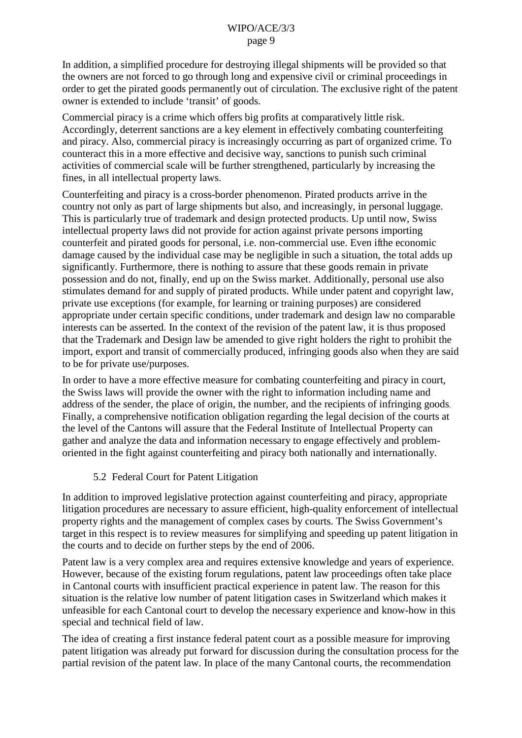<span id="page-8-0"></span>In addition, a simplified procedure for destroying illegal shipments will be provided so that the owners are not forced to go through long and expensive civil or criminal proceedings in order to get the pirated goods permanently out of circulation. The exclusive right of the patent owner is extended to include 'transit' of goods.

Commercial piracy is a crime which offers big profits at comparatively little risk. Accordingly, deterrent sanctions are a key element in effectively combating counterfeiting and piracy. Also, commercial piracy is increasingly occurring as part of organized crime. To counteract this in a more effective and decisive way, sanctions to punish such criminal activities of commercial scale will be further strengthened, particularly by increasing the fines, in all intellectual property laws.

Counterfeiting and piracy is a cross-border phenomenon. Pirated products arrive in the country not only as part of large shipments but also, and increasingly, in personal luggage. This is particularly true of trademark and design protected products. Up until now, Swiss intellectual property laws did not provide for action against private persons importing counterfeit and pirated goods for personal, i.e. non-commercial use. Even if the economic damage caused by the individual case may be negligible in such a situation, the total adds up significantly. Furthermore, there is nothing to assure that these goods remain in private possession and do not, finally, end up on the Swiss market. Additionally, personal use also stimulates demand for and supply of pirated products. While under patent and copyright law, private use exceptions (for example, for learning or training purposes) are considered appropriate under certain specific conditions, under trademark and design law no comparable interests can be asserted. In the context of the revision of the patent law, it is thus proposed that the Trademark and Design law be amended to give right holders the right to prohibit the import, export and transit of commercially produced, infringing goods also when they are said to be for private use/purposes.

In order to have a more effective measure for combating counterfeiting and piracy in court, the Swiss laws will provide the owner with the right to information including name and address of the sender, the place of origin, the number, and the recipients of infringing goods. Finally, a comprehensive notification obligation regarding the legal decision of the courts at the level of the Cantons will assure that the Federal Institute of Intellectual Property can gather and analyze the data and information necessary to engage effectively and problemoriented in the fight against counterfeiting and piracy both nationally and internationally.

#### 5.2 Federal Court for Patent Litigation

In addition to improved legislative protection against counterfeiting and piracy, appropriate litigation procedures are necessary to assure efficient, high-quality enforcement of intellectual property rights and the management of complex cases by courts. The Swiss Government's target in this respect is to review measures for simplifying and speeding up patent litigation in the courts and to decide on further steps by the end of 2006.

Patent law is a very complex area and requires extensive knowledge and years of experience. However, because of the existing forum regulations, patent law proceedings often take place in Cantonal courts with insufficient practical experience in patent law. The reason for this situation is the relative low number of patent litigation cases in Switzerland which makes it unfeasible for each Cantonal court to develop the necessary experience and know-how in this special and technical field of law.

The idea of creating a first instance federal patent court as a possible measure for improving patent litigation was already put forward for discussion during the consultation process for the partial revision of the patent law. In place of the many Cantonal courts, the recommendation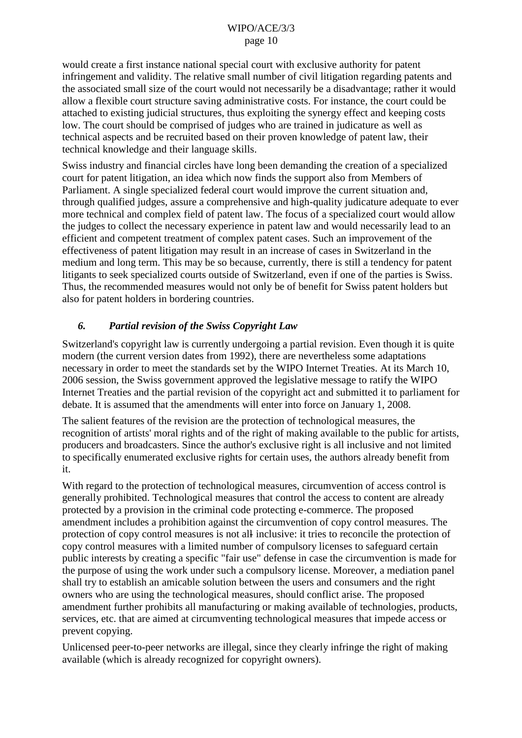<span id="page-9-0"></span>would create a first instance national special court with exclusive authority for patent infringement and validity. The relative small number of civil litigation regarding patents and the associated small size of the court would not necessarily be a disadvantage; rather it would allow a flexible court structure saving administrative costs. For instance, the court could be attached to existing judicial structures, thus exploiting the synergy effect and keeping costs low. The court should be comprised of judges who are trained in judicature as well as technical aspects and be recruited based on their proven knowledge of patent law, their technical knowledge and their language skills.

Swiss industry and financial circles have long been demanding the creation of a specialized court for patent litigation, an idea which now finds the support also from Members of Parliament. A single specialized federal court would improve the current situation and, through qualified judges, assure a comprehensive and high-quality judicature adequate to ever more technical and complex field of patent law. The focus of a specialized court would allow the judges to collect the necessary experience in patent law and would necessarily lead to an efficient and competent treatment of complex patent cases. Such an improvement of the effectiveness of patent litigation may result in an increase of cases in Switzerland in the medium and long term. This may be so because, currently, there is still a tendency for patent litigants to seek specialized courts outside of Switzerland, even if one of the parties is Swiss. Thus, the recommended measures would not only be of benefit for Swiss patent holders but also for patent holders in bordering countries.

## *6. Partial revision of the Swiss Copyright Law*

Switzerland's copyright law is currently undergoing a partial revision. Even though it is quite modern (the current version dates from 1992), there are nevertheless some adaptations necessary in order to meet the standards set by the WIPO Internet Treaties. At its March 10, 2006 session, the Swiss government approved the legislative message to ratify the WIPO Internet Treaties and the partial revision of the copyright act and submitted it to parliament for debate. It is assumed that the amendments will enter into force on January 1, 2008.

The salient features of the revision are the protection of technological measures, the recognition of artists' moral rights and of the right of making available to the public for artists, producers and broadcasters. Since the author's exclusive right is all inclusive and not limited to specifically enumerated exclusive rights for certain uses, the authors already benefit from it.

With regard to the protection of technological measures, circumvention of access control is generally prohibited. Technological measures that control the access to content are already protected by a provision in the criminal code protecting e-commerce. The proposed amendment includes a prohibition against the circumvention of copy control measures. The protection of copy control measures is not all- inclusive: it tries to reconcile the protection of copy control measures with a limited number of compulsory licenses to safeguard certain public interests by creating a specific "fair use" defense in case the circumvention is made for the purpose of using the work under such a compulsory license. Moreover, a mediation panel shall try to establish an amicable solution between the users and consumers and the right owners who are using the technological measures, should conflict arise. The proposed amendment further prohibits all manufacturing or making available of technologies, products, services, etc. that are aimed at circumventing technological measures that impede access or prevent copying.

Unlicensed peer-to-peer networks are illegal, since they clearly infringe the right of making available (which is already recognized for copyright owners).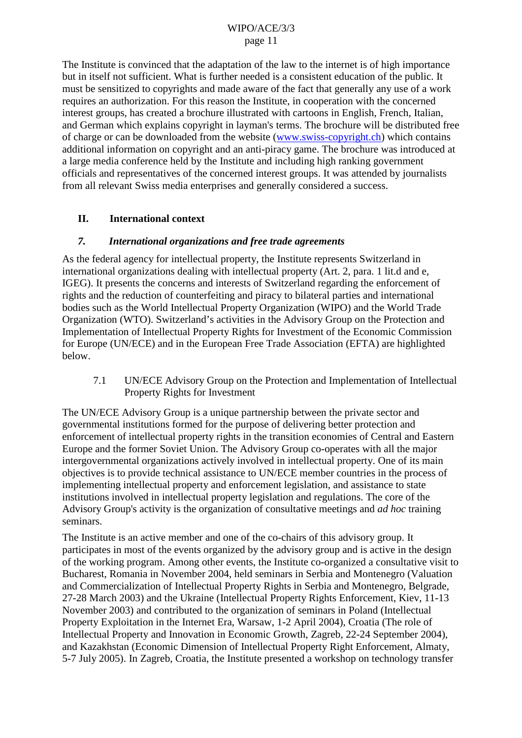<span id="page-10-0"></span>The Institute is convinced that the adaptation of the law to the internet is of high importance but in itself not sufficient. What is further needed is a consistent education of the public. It must be sensitized to copyrights and made aware of the fact that generally any use of a work requires an authorization. For this reason the Institute, in cooperation with the concerned interest groups, has created a brochure illustrated with cartoons in English, French, Italian, and German which explains copyright in layman's terms. The brochure will be distributed free of charge or can be downloaded from the website [\(www.swiss-copyright.ch\)](http://www.swiss-copyright.ch/) which contains additional information on copyright and an anti-piracy game. The brochure was introduced at a large media conference held by the Institute and including high ranking government officials and representatives of the concerned interest groups. It was attended by journalists from all relevant Swiss media enterprises and generally considered a success.

#### **II. International context**

#### *7. International organizations and free trade agreements*

As the federal agency for intellectual property, the Institute represents Switzerland in international organizations dealing with intellectual property (Art. 2, para. 1 lit.d and e, IGEG). It presents the concerns and interests of Switzerland regarding the enforcement of rights and the reduction of counterfeiting and piracy to bilateral parties and international bodies such as the World Intellectual Property Organization (WIPO) and the World Trade Organization (WTO). Switzerland's activities in the Advisory Group on the Protection and Implementation of Intellectual Property Rights for Investment of the Economic Commission for Europe (UN/ECE) and in the European Free Trade Association (EFTA) are highlighted below.

7.1 UN/ECE Advisory Group on the Protection and Implementation of Intellectual Property Rights for Investment

The UN/ECE Advisory Group is a unique partnership between the private sector and governmental institutions formed for the purpose of delivering better protection and enforcement of intellectual property rights in the transition economies of Central and Eastern Europe and the former Soviet Union. The Advisory Group co-operates with all the major intergovernmental organizations actively involved in intellectual property. One of its main objectives is to provide technical assistance to UN/ECE member countries in the process of implementing intellectual property and enforcement legislation, and assistance to state institutions involved in intellectual property legislation and regulations. The core of the Advisory Group's activity is the organization of consultative meetings and *ad hoc* training seminars.

The Institute is an active member and one of the co-chairs of this advisory group. It participates in most of the events organized by the advisory group and is active in the design of the working program. Among other events, the Institute co-organized a consultative visit to Bucharest, Romania in November 2004, held seminars in Serbia and Montenegro (Valuation and Commercialization of Intellectual Property Rights in Serbia and Montenegro, Belgrade, 27-28 March 2003) and the Ukraine (Intellectual Property Rights Enforcement, Kiev, 11-13 November 2003) and contributed to the organization of seminars in Poland (Intellectual Property Exploitation in the Internet Era, Warsaw, 1-2 April 2004), Croatia (The role of Intellectual Property and Innovation in Economic Growth, Zagreb, 22-24 September 2004), and Kazakhstan (Economic Dimension of Intellectual Property Right Enforcement, Almaty, 5-7 July 2005). In Zagreb, Croatia, the Institute presented a workshop on technology transfer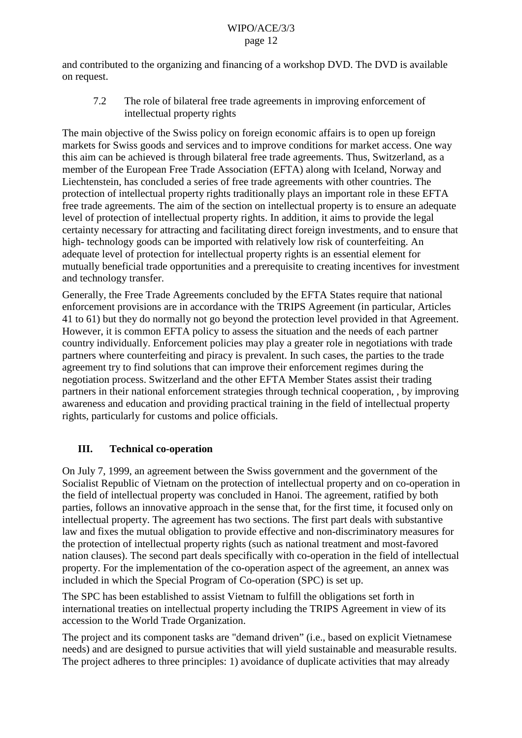<span id="page-11-0"></span>and contributed to the organizing and financing of a workshop DVD. The DVD is available on request.

7.2 The role of bilateral free trade agreements in improving enforcement of intellectual property rights

The main objective of the Swiss policy on foreign economic affairs is to open up foreign markets for Swiss goods and services and to improve conditions for market access. One way this aim can be achieved is through bilateral free trade agreements. Thus, Switzerland, as a member of the European Free Trade Association (EFTA) along with Iceland, Norway and Liechtenstein, has concluded a series of free trade agreements with other countries. The protection of intellectual property rights traditionally plays an important role in these EFTA free trade agreements. The aim of the section on intellectual property is to ensure an adequate level of protection of intellectual property rights. In addition, it aims to provide the legal certainty necessary for attracting and facilitating direct foreign investments, and to ensure that high- technology goods can be imported with relatively low risk of counterfeiting. An adequate level of protection for intellectual property rights is an essential element for mutually beneficial trade opportunities and a prerequisite to creating incentives for investment and technology transfer.

Generally, the Free Trade Agreements concluded by the EFTA States require that national enforcement provisions are in accordance with the TRIPS Agreement (in particular, Articles 41 to 61) but they do normally not go beyond the protection level provided in that Agreement. However, it is common EFTA policy to assess the situation and the needs of each partner country individually. Enforcement policies may play a greater role in negotiations with trade partners where counterfeiting and piracy is prevalent. In such cases, the parties to the trade agreement try to find solutions that can improve their enforcement regimes during the negotiation process. Switzerland and the other EFTA Member States assist their trading partners in their national enforcement strategies through technical cooperation, , by improving awareness and education and providing practical training in the field of intellectual property rights, particularly for customs and police officials.

## **III. Technical co-operation**

On July 7, 1999, an agreement between the Swiss government and the government of the Socialist Republic of Vietnam on the protection of intellectual property and on co-operation in the field of intellectual property was concluded in Hanoi. The agreement, ratified by both parties, follows an innovative approach in the sense that, for the first time, it focused only on intellectual property. The agreement has two sections. The first part deals with substantive law and fixes the mutual obligation to provide effective and non-discriminatory measures for the protection of intellectual property rights (such as national treatment and most-favored nation clauses). The second part deals specifically with co-operation in the field of intellectual property. For the implementation of the co-operation aspect of the agreement, an annex was included in which the Special Program of Co-operation (SPC) is set up.

The SPC has been established to assist Vietnam to fulfill the obligations set forth in international treaties on intellectual property including the TRIPS Agreement in view of its accession to the World Trade Organization.

The project and its component tasks are "demand driven" (i.e., based on explicit Vietnamese needs) and are designed to pursue activities that will yield sustainable and measurable results. The project adheres to three principles: 1) avoidance of duplicate activities that may already